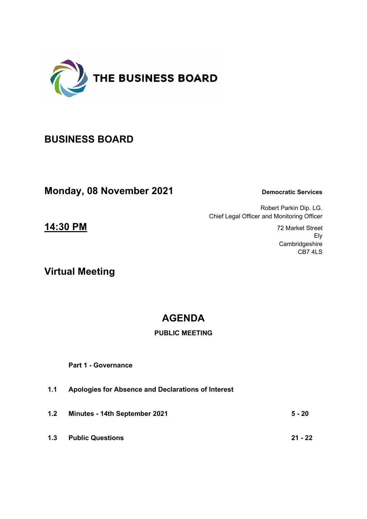

# **BUSINESS BOARD**

**Monday, 08 November 2021** Democratic Services

Robert Parkin Dip. LG. Chief Legal Officer and Monitoring Officer

> Ely **Cambridgeshire** CB7 4LS

**14:30 PM** 72 Market Street

**Virtual Meeting**

# **AGENDA**

# **PUBLIC MEETING**

 **Part 1 - Governance** 

- **1.1 Apologies for Absence and Declarations of Interest**
- **1.2 Minutes 14th September 2021 5 20**
- **1.3 Public Questions 21 22**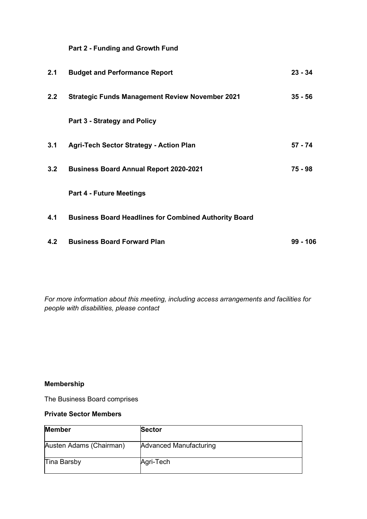## **Part 2 - Funding and Growth Fund**

| 2.1 | <b>Budget and Performance Report</b>                         | $23 - 34$ |
|-----|--------------------------------------------------------------|-----------|
| 2.2 | <b>Strategic Funds Management Review November 2021</b>       | $35 - 56$ |
|     | Part 3 - Strategy and Policy                                 |           |
| 3.1 | <b>Agri-Tech Sector Strategy - Action Plan</b>               | 57 - 74   |
| 3.2 | <b>Business Board Annual Report 2020-2021</b>                | 75 - 98   |
|     | <b>Part 4 - Future Meetings</b>                              |           |
| 4.1 | <b>Business Board Headlines for Combined Authority Board</b> |           |
| 4.2 | <b>Business Board Forward Plan</b>                           | 99 - 106  |

*For more information about this meeting, including access arrangements and facilities for people with disabilities, please contact* 

## **Membership**

The Business Board comprises

#### **Private Sector Members**

| <b>Member</b>           | <b>Sector</b>          |
|-------------------------|------------------------|
| Austen Adams (Chairman) | Advanced Manufacturing |
| Tina Barsby             | Agri-Tech              |